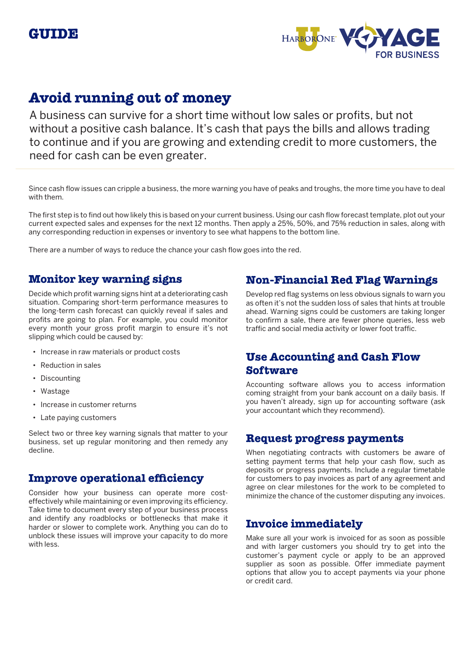



# **Avoid running out of money**

A business can survive for a short time without low sales or profits, but not without a positive cash balance. It's cash that pays the bills and allows trading to continue and if you are growing and extending credit to more customers, the need for cash can be even greater.

Since cash flow issues can cripple a business, the more warning you have of peaks and troughs, the more time you have to deal with them.

The first step is to find out how likely this is based on your current business. Using our cash flow forecast template, plot out your current expected sales and expenses for the next 12 months. Then apply a 25%, 50%, and 75% reduction in sales, along with any corresponding reduction in expenses or inventory to see what happens to the bottom line.

There are a number of ways to reduce the chance your cash flow goes into the red.

## **Monitor key warning signs**

Decide which profit warning signs hint at a deteriorating cash situation. Comparing short-term performance measures to the long-term cash forecast can quickly reveal if sales and profits are going to plan. For example, you could monitor every month your gross profit margin to ensure it's not slipping which could be caused by:

- Increase in raw materials or product costs
- Reduction in sales
- Discounting
- Wastage
- Increase in customer returns
- Late paying customers

Select two or three key warning signals that matter to your business, set up regular monitoring and then remedy any decline.

#### **Improve operational efficiency**

Consider how your business can operate more costeffectively while maintaining or even improving its efficiency. Take time to document every step of your business process and identify any roadblocks or bottlenecks that make it harder or slower to complete work. Anything you can do to unblock these issues will improve your capacity to do more with less.

## **Non-Financial Red Flag Warnings**

Develop red flag systems on less obvious signals to warn you as often it's not the sudden loss of sales that hints at trouble ahead. Warning signs could be customers are taking longer to confirm a sale, there are fewer phone queries, less web traffic and social media activity or lower foot traffic.

## **Use Accounting and Cash Flow Software**

Accounting software allows you to access information coming straight from your bank account on a daily basis. If you haven't already, sign up for accounting software (ask your accountant which they recommend).

### **Request progress payments**

When negotiating contracts with customers be aware of setting payment terms that help your cash flow, such as deposits or progress payments. Include a regular timetable for customers to pay invoices as part of any agreement and agree on clear milestones for the work to be completed to minimize the chance of the customer disputing any invoices.

## **Invoice immediately**

Make sure all your work is invoiced for as soon as possible and with larger customers you should try to get into the customer's payment cycle or apply to be an approved supplier as soon as possible. Offer immediate payment options that allow you to accept payments via your phone or credit card.